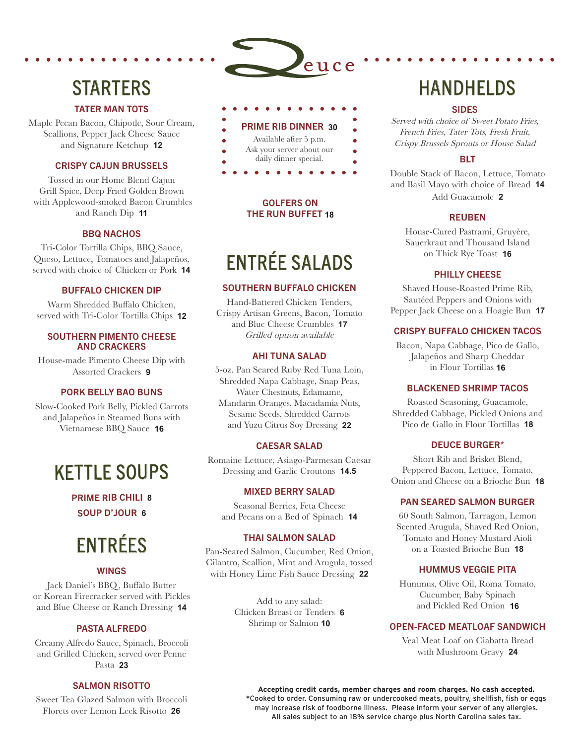# **STARTERS**

# TATER MAN TOTS

Maple Pecan Bacon, Chipotle, Sour Cream, Scallions, Pepper Jack Cheese Sauce and Signature Ketchup **12**

#### CRISPY CAJUN BRUSSELS

Tossed in our Home Blend Cajun Grill Spice, Deep Fried Golden Brown with Applewood-smoked Bacon Crumbles and Ranch Dip **11**

# BBQ NACHOS

Tri-Color Tortilla Chips, BBQ Sauce, Queso, Lettuce, Tomatoes and Jalapeños, served with choice of Chicken or Pork **14**

#### BUFFALO CHICKEN DIP

Warm Shredded Buffalo Chicken, served with Tri-Color Tortilla Chips **12**

#### SOUTHERN PIMENTO CHEESE AND CRACKERS

House-made Pimento Cheese Dip with Assorted Crackers **9**

#### PORK BELLY BAO BUNS

Slow-Cooked Pork Belly, Pickled Carrots and Jalapeños in Steamed Buns with Vietnamese BBQ Sauce **16**

# KETTLE SOUPS

PRIME RIB CHILI **8** SOUP D'JOUR **6**

# ENTRÉES

# WINGS

Jack Daniel's BBQ, Buffalo Butter or Korean Firecracker served with Pickles and Blue Cheese or Ranch Dressing **14**

# PASTA ALFREDO

Creamy Alfredo Sauce, Spinach, Broccoli and Grilled Chicken, served over Penne Pasta **23**

# SALMON RISOTTO

Sweet Tea Glazed Salmon with Broccoli Florets over Lemon Leek Risotto **26**



'euce

- Ask your server about our
- daily dinner special.

 $\bullet$ 

# GOLFERS ON THE RUN BUFFET **18**

# ENTRÉE SALADS

#### SOUTHERN BUFFALO CHICKEN

Hand-Battered Chicken Tenders, Crispy Artisan Greens, Bacon, Tomato and Blue Cheese Crumbles **17** Grilled option available

# AHI TUNA SALAD

5-oz. Pan Seared Ruby Red Tuna Loin, Shredded Napa Cabbage, Snap Peas, Water Chestnuts, Edamame, Mandarin Oranges, Macadamia Nuts, Sesame Seeds, Shredded Carrots and Yuzu Citrus Soy Dressing **22**

# CAESAR SALAD

Romaine Lettuce, Asiago-Parmesan Caesar Dressing and Garlic Croutons **14.5**

#### MIXED BERRY SALAD

Seasonal Berries, Feta Cheese and Pecans on a Bed of Spinach **14**

#### THAI SALMON SALAD

Pan-Seared Salmon, Cucumber, Red Onion, Cilantro, Scallion, Mint and Arugula, tossed with Honey Lime Fish Sauce Dressing **22**

> Add to any salad: Chicken Breast or Tenders **6** Shrimp or Salmon **10**

# **HANDHELDS**

#### SIDES

Served with choice of Sweet Potato Fries, French Fries, Tater Tots, Fresh Fruit, Crispy Brussels Sprouts or House Salad

# BLT

Double Stack of Bacon, Lettuce, Tomato and Basil Mayo with choice of Bread **14** Add Guacamole **2**

# REUBEN

House-Cured Pastrami, Gruyère, Sauerkraut and Thousand Island on Thick Rye Toast **16**

# PHILLY CHEESE

Shaved House-Roasted Prime Rib, Sautéed Peppers and Onions with Pepper Jack Cheese on a Hoagie Bun **17**

# CRISPY BUFFALO CHICKEN TACOS

Bacon, Napa Cabbage, Pico de Gallo, Jalapeños and Sharp Cheddar in Flour Tortillas **16**

# BLACKENED SHRIMP TACOS

Roasted Seasoning, Guacamole, Shredded Cabbage, Pickled Onions and Pico de Gallo in Flour Tortillas **18**

# DEUCE BURGER\*

Short Rib and Brisket Blend, Peppered Bacon, Lettuce, Tomato, Onion and Cheese on a Brioche Bun **18**

# PAN SEARED SALMON BURGER

60 South Salmon, Tarragon, Lemon Scented Arugula, Shaved Red Onion, Tomato and Honey Mustard Aioli on a Toasted Brioche Bun **18** 

# HUMMUS VEGGIE PITA

Hummus, Olive Oil, Roma Tomato, Cucumber, Baby Spinach and Pickled Red Onion **16**

# OPEN-FACED MEATLOAF SANDWICH

Veal Meat Loaf on Ciabatta Bread with Mushroom Gravy **24**

**Accepting credit cards, member charges and room charges. No cash accepted.** \*Cooked to order. Consuming raw or undercooked meats, poultry, shellfish, fish or eggs may increase risk of foodborne illness. Please inform your server of any allergies. All sales subject to an 18% service charge plus North Carolina sales tax.